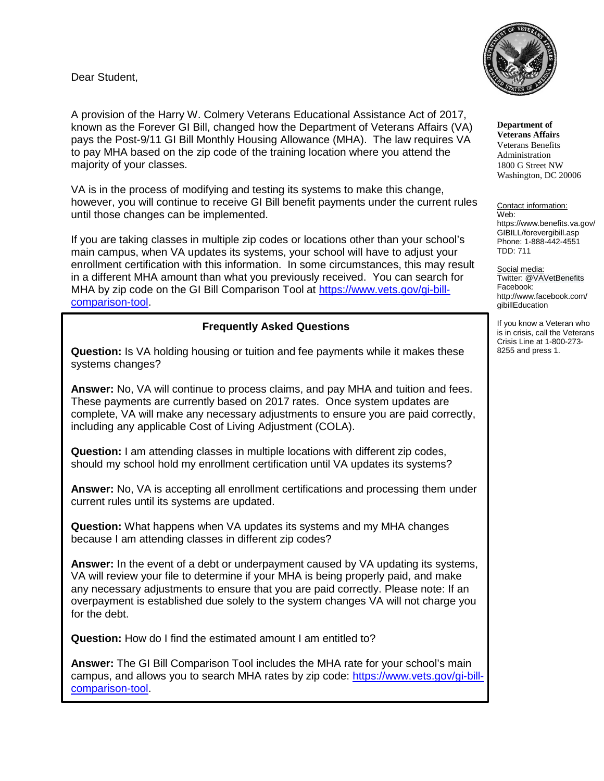Dear Student,



**Department of Veterans Affairs** Veterans Benefits Administration 1800 G Street NW Washington, DC 20006

Contact information: Web: https://www.benefits.va.gov/ GIBILL/forevergibill.asp Phone: 1-888-442-4551 TDD: 711

Social media: Twitter: @VAVetBenefits Facebook: http://www.facebook.com/ gibillEducation

If you know a Veteran who is in crisis, call the Veterans Crisis Line at 1-800-273- 8255 and press 1.

A provision of the Harry W. Colmery Veterans Educational Assistance Act of 2017, known as the Forever GI Bill, changed how the Department of Veterans Affairs (VA) pays the Post-9/11 GI Bill Monthly Housing Allowance (MHA). The law requires VA to pay MHA based on the zip code of the training location where you attend the majority of your classes.

VA is in the process of modifying and testing its systems to make this change, however, you will continue to receive GI Bill benefit payments under the current rules until those changes can be implemented.

If you are taking classes in multiple zip codes or locations other than your school's main campus, when VA updates its systems, your school will have to adjust your enrollment certification with this information. In some circumstances, this may result in a different MHA amount than what you previously received. You can search for MHA by zip code on the GI Bill Comparison Tool at [https://www.vets.gov/gi-bill](https://www.vets.gov/gi-bill-comparison-tool)[comparison-tool.](https://www.vets.gov/gi-bill-comparison-tool)

## **Frequently Asked Questions**

**Question:** Is VA holding housing or tuition and fee payments while it makes these systems changes?

**Answer:** No, VA will continue to process claims, and pay MHA and tuition and fees. These payments are currently based on 2017 rates. Once system updates are complete, VA will make any necessary adjustments to ensure you are paid correctly, including any applicable Cost of Living Adjustment (COLA).

**Question:** I am attending classes in multiple locations with different zip codes, should my school hold my enrollment certification until VA updates its systems?

**Answer:** No, VA is accepting all enrollment certifications and processing them under current rules until its systems are updated.

**Question:** What happens when VA updates its systems and my MHA changes because I am attending classes in different zip codes?

**Answer:** In the event of a debt or underpayment caused by VA updating its systems, VA will review your file to determine if your MHA is being properly paid, and make any necessary adjustments to ensure that you are paid correctly. Please note: If an overpayment is established due solely to the system changes VA will not charge you for the debt.

**Question:** How do I find the estimated amount I am entitled to?

**Answer:** The GI Bill Comparison Tool includes the MHA rate for your school's main campus, and allows you to search MHA rates by zip code: [https://www.vets.gov/gi-bill](https://www.vets.gov/gi-bill-comparison-tool)[comparison-tool.](https://www.vets.gov/gi-bill-comparison-tool)